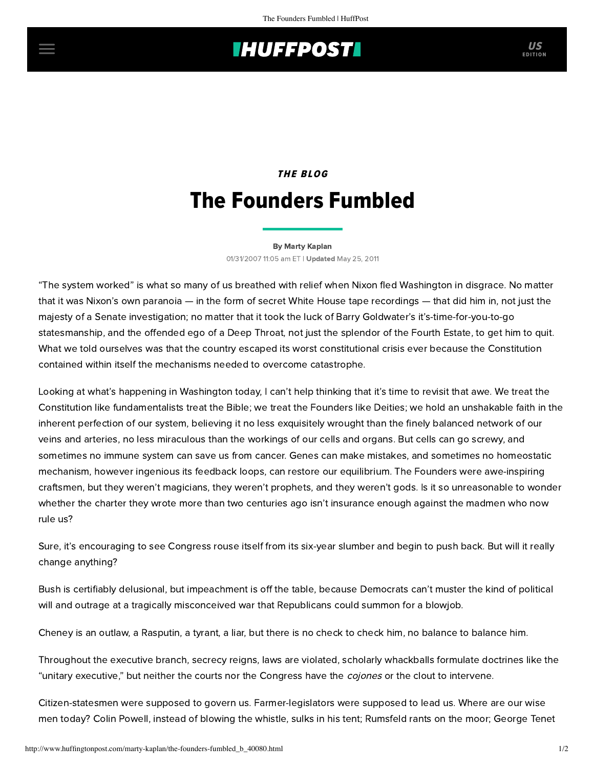## **THUFFPOST**

## THE BLOG The Founders Fumbled

[By Marty Kaplan](http://www.huffingtonpost.com/author/marty-kaplan) 01/31/2007 11:05 am ET | Updated May 25, 2011

"The system worked" is what so many of us breathed with relief when Nixon fled Washington in disgrace. No matter that it was Nixon's own paranoia — in the form of secret White House tape recordings — that did him in, not just the majesty of a Senate investigation; no matter that it took the luck of Barry Goldwater's it's-time-for-you-to-go statesmanship, and the offended ego of a Deep Throat, not just the splendor of the Fourth Estate, to get him to quit. What we told ourselves was that the country escaped its worst constitutional crisis ever because the Constitution contained within itself the mechanisms needed to overcome catastrophe.

Looking at what's happening in Washington today, I can't help thinking that it's time to revisit that awe. We treat the Constitution like fundamentalists treat the Bible; we treat the Founders like Deities; we hold an unshakable faith in the inherent perfection of our system, believing it no less exquisitely wrought than the finely balanced network of our veins and arteries, no less miraculous than the workings of our cells and organs. But cells can go screwy, and sometimes no immune system can save us from cancer. Genes can make mistakes, and sometimes no homeostatic mechanism, however ingenious its feedback loops, can restore our equilibrium. The Founders were awe-inspiring craftsmen, but they weren't magicians, they weren't prophets, and they weren't gods. Is it so unreasonable to wonder whether the charter they wrote more than two centuries ago isn't insurance enough against the madmen who now rule us?

Sure, it's encouraging to see Congress rouse itself from its six-year slumber and begin to push back. But will it really change anything?

Bush is certifiably delusional, but impeachment is off the table, because Democrats can't muster the kind of political will and outrage at a tragically misconceived war that Republicans could summon for a blowjob.

Cheney is an outlaw, a Rasputin, a tyrant, a liar, but there is no check to check him, no balance to balance him.

Throughout the executive branch, secrecy reigns, laws are violated, scholarly whackballs formulate doctrines like the "unitary executive," but neither the courts nor the Congress have the *cojones* or the clout to intervene.

Citizen-statesmen were supposed to govern us. Farmer-legislators were supposed to lead us. Where are our wise men today? Colin Powell, instead of blowing the whistle, sulks in his tent; Rumsfeld rants on the moor; George Tenet